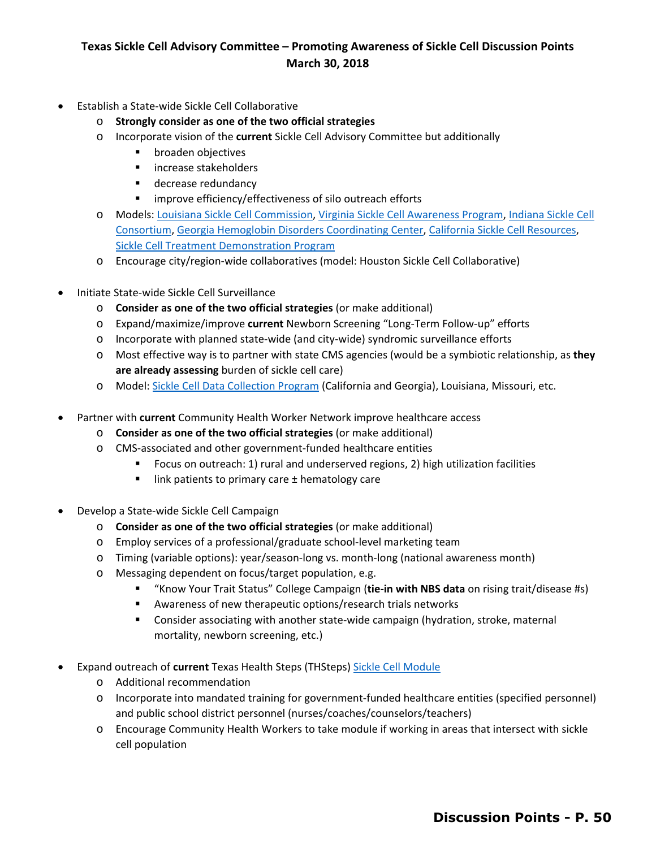## **Texas Sickle Cell Advisory Committee – Promoting Awareness of Sickle Cell Discussion Points March 30, 2018**

- **Establish a State-wide Sickle Cell Collaborative** 
	- o **Strongly consider as one of the two official strategies**
	- o Incorporate vision of the **current** Sickle Cell Advisory Committee but additionally
		- **•** broaden objectives
		- **EXEC** increase stakeholders
		- **decrease redundancy**
		- improve efficiency/effectiveness of silo outreach efforts
	- [Consortium,](http://www.indianasicklecell.org/) [Georgia Hemoglobin Disorders Coordinating Center,](https://ghpc.gsu.edu/project/hemoglobin-disorders-data-coordinating-center/) [California Sickle Cell Resources,](http://www.casicklecell.org/) o Models[: Louisiana Sickle Cell Commission,](http://ldh.la.gov/index.cfm/page/2900) [Virginia Sickle Cell Awareness Program,](http://www.vdh.virginia.gov/sickle-cell-programs/) [Indiana Sickle Cell](http://www.indianasicklecell.org/)  [Sickle Cell Treatment Demonstration Program](https://www.nichq.org/scdtdp)
	- o Encourage city/region-wide collaboratives (model: Houston Sickle Cell Collaborative)
- Initiate State-wide Sickle Cell Surveillance
	- o **Consider as one of the two official strategies** (or make additional)
	- o Expand/maximize/improve **current** Newborn Screening "Long-Term Follow-up" efforts
	- $\circ$  Incorporate with planned state-wide (and city-wide) syndromic surveillance efforts
	- o Most effective way is to partner with state CMS agencies (would be a symbiotic relationship, as **they are already assessing** burden of sickle cell care)
	- o Model: [Sickle Cell Data Collection Program](https://www.cdc.gov/ncbddd/hemoglobinopathies/scdc.html) (California and Georgia), Louisiana, Missouri, etc.
- • Partner with **current** Community Health Worker Network improve healthcare access
	- o **Consider as one of the two official strategies** (or make additional)
	- o CMS-associated and other government-funded healthcare entities
		- Focus on outreach: 1) rural and underserved regions, 2) high utilization facilities
		- $\blacksquare$  link patients to primary care  $\pm$  hematology care
- **Develop a State-wide Sickle Cell Campaign** 
	- o **Consider as one of the two official strategies** (or make additional)
	- o Employ services of a professional/graduate school-level marketing team
	- o Timing (variable options): year/season-long vs. month-long (national awareness month)
	- o Messaging dependent on focus/target population, e.g.
		- "Know Your Trait Status" College Campaign (**tie-in with NBS data** on rising trait/disease #s)
		- Awareness of new therapeutic options/research trials networks
		- Consider associating with another state-wide campaign (hydration, stroke, maternal mortality, newborn screening, etc.)
- Expand outreach of current Texas Health Steps (THSteps) Sickle Cell Module
	- o Additional recommendation
	- o Incorporate into mandated training for government-funded healthcare entities (specified personnel) and public school district personnel (nurses/coaches/counselors/teachers)
	- o Encourage Community Health Workers to take module if working in areas that intersect with sickle cell population